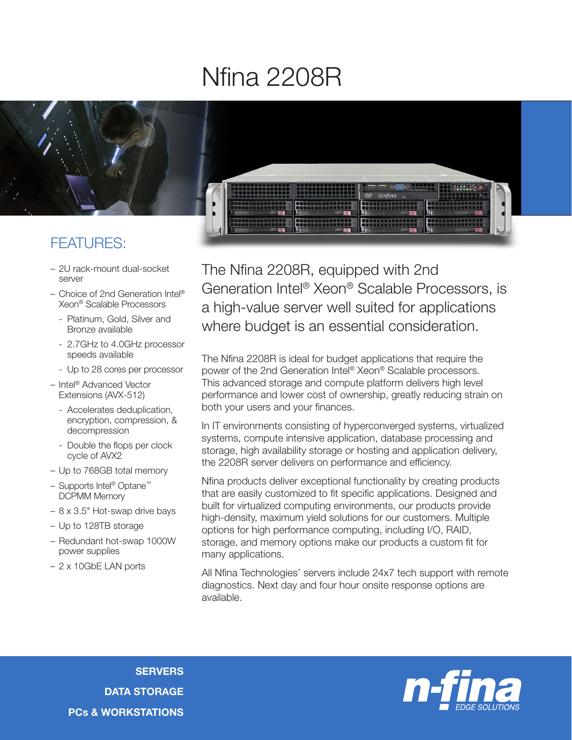## Nfina 2208R



The Nfina 2208R, equipped with 2nd – 2U rack-mount dual-socket – Choice of 2nd Generation Intel® Xeon® Scalable Processors

- Platinum, Gold, Silver and Bronze available
- 2.7GHz to 4.0GHz processor speeds available
- Up to 28 cores per processor
- Intel® Advanced Vector Extensions (AVX-512)

server

- Accelerates deduplication, encryption, compression, & decompression
- Double the flops per clock cycle of AVX2
- Up to 768GB total memory
- Supports Intel® Optane™ DCPMM Memory
- 8 x 3.5" Hot-swap drive bays
- Up to 128TB storage
- Redundant hot-swap 1000W power supplies
- 2 x 10GbE LAN ports

Generation Intel® Xeon® Scalable Processors, is a high-value server well suited for applications where budget is an essential consideration.

The Nfina 2208R is ideal for budget applications that require the power of the 2nd Generation Intel® Xeon® Scalable processors. This advanced storage and compute platform delivers high level performance and lower cost of ownership, greatly reducing strain on both your users and your finances.

In IT environments consisting of hyperconverged systems, virtualized systems, compute intensive application, database processing and storage, high availability storage or hosting and application delivery, the 2208R server delivers on performance and efficiency.

Nfina products deliver exceptional functionality by creating products that are easily customized to fit specific applications. Designed and built for virtualized computing environments, our products provide high-density, maximum yield solutions for our customers. Multiple options for high performance computing, including I/O, RAID, storage, and memory options make our products a custom fit for many applications.

All Nfina Technologies' servers include 24x7 tech support with remote diagnostics. Next day and four hour onsite response options are available.

**SERVERS** DATA STORAGE PCs & WORKSTATIONS

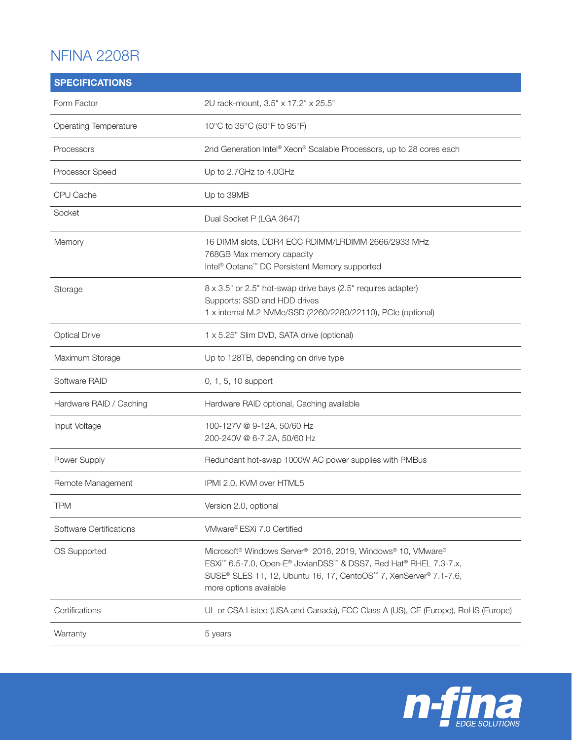## NFINA 2208R

| <b>SPECIFICATIONS</b>   |                                                                                                                                                                                                                                                                                |
|-------------------------|--------------------------------------------------------------------------------------------------------------------------------------------------------------------------------------------------------------------------------------------------------------------------------|
| Form Factor             | 2U rack-mount, 3.5" x 17.2" x 25.5"                                                                                                                                                                                                                                            |
| Operating Temperature   | 10°C to 35°C (50°F to 95°F)                                                                                                                                                                                                                                                    |
| Processors              | 2nd Generation Intel® Xeon® Scalable Processors, up to 28 cores each                                                                                                                                                                                                           |
| Processor Speed         | Up to 2.7GHz to 4.0GHz                                                                                                                                                                                                                                                         |
| CPU Cache               | Up to 39MB                                                                                                                                                                                                                                                                     |
| Socket                  | Dual Socket P (LGA 3647)                                                                                                                                                                                                                                                       |
| Memory                  | 16 DIMM slots, DDR4 ECC RDIMM/LRDIMM 2666/2933 MHz<br>768GB Max memory capacity<br>Intel <sup>®</sup> Optane <sup>™</sup> DC Persistent Memory supported                                                                                                                       |
| Storage                 | 8 x 3.5" or 2.5" hot-swap drive bays (2.5" requires adapter)<br>Supports: SSD and HDD drives<br>1 x internal M.2 NVMe/SSD (2260/2280/22110), PCle (optional)                                                                                                                   |
| <b>Optical Drive</b>    | 1 x 5.25" Slim DVD, SATA drive (optional)                                                                                                                                                                                                                                      |
| Maximum Storage         | Up to 128TB, depending on drive type                                                                                                                                                                                                                                           |
| Software RAID           | 0, 1, 5, 10 support                                                                                                                                                                                                                                                            |
| Hardware RAID / Caching | Hardware RAID optional, Caching available                                                                                                                                                                                                                                      |
| Input Voltage           | 100-127V @ 9-12A, 50/60 Hz<br>200-240V @ 6-7.2A, 50/60 Hz                                                                                                                                                                                                                      |
| Power Supply            | Redundant hot-swap 1000W AC power supplies with PMBus                                                                                                                                                                                                                          |
| Remote Management       | IPMI 2.0, KVM over HTML5                                                                                                                                                                                                                                                       |
| <b>TPM</b>              | Version 2.0, optional                                                                                                                                                                                                                                                          |
| Software Certifications | VMware® ESXi 7.0 Certified                                                                                                                                                                                                                                                     |
| OS Supported            | Microsoft <sup>®</sup> Windows Server <sup>®</sup> 2016, 2019, Windows <sup>®</sup> 10, VMware®<br>ESXi <sup>™</sup> 6.5-7.0, Open-E® JovianDSS™ & DSS7, Red Hat® RHEL 7.3-7.x,<br>SUSE® SLES 11, 12, Ubuntu 16, 17, CentoOS™ 7, XenServer® 7.1-7.6,<br>more options available |
| Certifications          | UL or CSA Listed (USA and Canada), FCC Class A (US), CE (Europe), RoHS (Europe)                                                                                                                                                                                                |
| Warranty                | 5 years                                                                                                                                                                                                                                                                        |